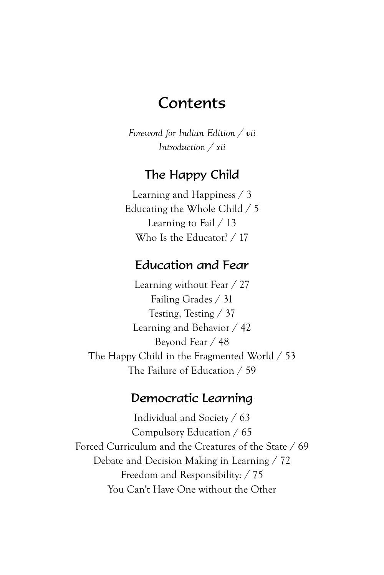# Contents

*Foreword for Indian Edition / vii Introduction / xii*

### The Happy Child

Learning and Happiness / 3 Educating the Whole Child / 5 Learning to Fail / 13 Who Is the Educator? / 17

### Education and Fear

Learning without Fear / 27 Failing Grades / 31 Testing, Testing / 37 Learning and Behavior / 42 Beyond Fear / 48 The Happy Child in the Fragmented World / 53 The Failure of Education / 59

#### Democratic Learning

Individual and Society / 63 Compulsory Education / 65 Forced Curriculum and the Creatures of the State / 69 Debate and Decision Making in Learning / 72 Freedom and Responsibility: / 75 You Can't Have One without the Other